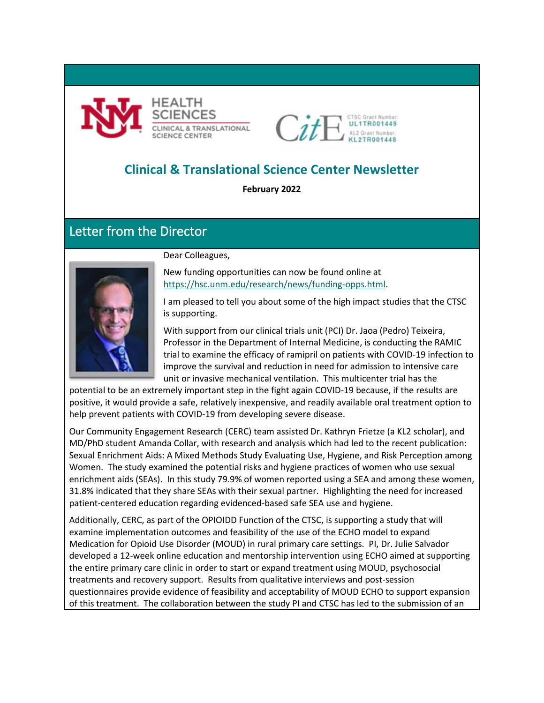



# **Clinical & Translational Science Center Newsletter**

**February 2022**

## Letter from the Director



Dear Colleagues,

New funding opportunities can now be found online at [https://hsc.unm.edu/research/news/funding-opps.html.](https://hsc.unm.edu/research/news/funding-opps.html)

I am pleased to tell you about some of the high impact studies that the CTSC is supporting.

With support from our clinical trials unit (PCI) Dr. Jaoa (Pedro) Teixeira, Professor in the Department of Internal Medicine, is conducting the RAMIC trial to examine the efficacy of ramipril on patients with COVID-19 infection to improve the survival and reduction in need for admission to intensive care unit or invasive mechanical ventilation. This multicenter trial has the

potential to be an extremely important step in the fight again COVID-19 because, if the results are positive, it would provide a safe, relatively inexpensive, and readily available oral treatment option to help prevent patients with COVID-19 from developing severe disease.

Our Community Engagement Research (CERC) team assisted Dr. Kathryn Frietze (a KL2 scholar), and MD/PhD student Amanda Collar, with research and analysis which had led to the recent publication: Sexual Enrichment Aids: A Mixed Methods Study Evaluating Use, Hygiene, and Risk Perception among Women. The study examined the potential risks and hygiene practices of women who use sexual enrichment aids (SEAs). In this study 79.9% of women reported using a SEA and among these women, 31.8% indicated that they share SEAs with their sexual partner. Highlighting the need for increased patient-centered education regarding evidenced-based safe SEA use and hygiene.

Additionally, CERC, as part of the OPIOIDD Function of the CTSC, is supporting a study that will examine implementation outcomes and feasibility of the use of the ECHO model to expand Medication for Opioid Use Disorder (MOUD) in rural primary care settings. PI, Dr. Julie Salvador developed a 12-week online education and mentorship intervention using ECHO aimed at supporting the entire primary care clinic in order to start or expand treatment using MOUD, psychosocial treatments and recovery support. Results from qualitative interviews and post-session questionnaires provide evidence of feasibility and acceptability of MOUD ECHO to support expansion of this treatment. The collaboration between the study PI and CTSC has led to the submission of an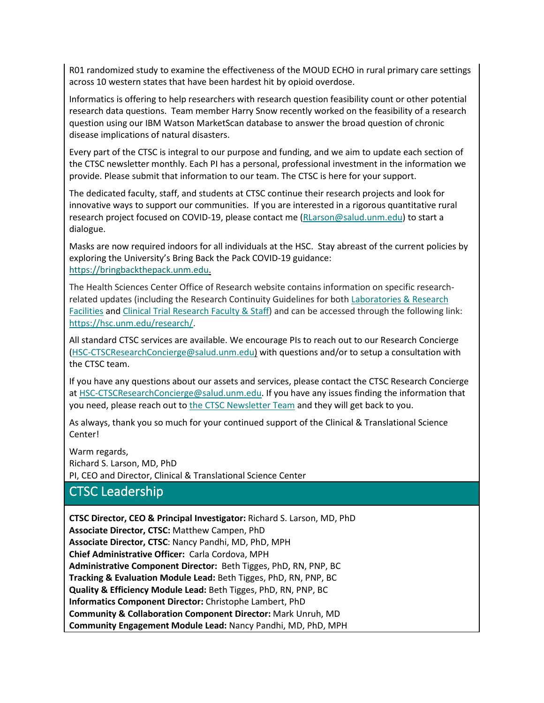R01 randomized study to examine the effectiveness of the MOUD ECHO in rural primary care settings across 10 western states that have been hardest hit by opioid overdose.

Informatics is offering to help researchers with research question feasibility count or other potential research data questions. Team member Harry Snow recently worked on the feasibility of a research question using our IBM Watson MarketScan database to answer the broad question of chronic disease implications of natural disasters.

Every part of the CTSC is integral to our purpose and funding, and we aim to update each section of the CTSC newsletter monthly. Each PI has a personal, professional investment in the information we provide. Please submit that information to our team. The CTSC is here for your support.

The dedicated faculty, staff, and students at CTSC continue their research projects and look for innovative ways to support our communities. If you are interested in a rigorous quantitative rural research project focused on COVID-19, please contact me [\(RLarson@salud.unm.edu\)](mailto:RLarson@salud.unm.edu) to start a dialogue.

Masks are now required indoors for all individuals at the HSC. Stay abreast of the current policies by exploring the University's Bring Back the Pack COVID-19 guidance: [https://bringbackthepack.unm.edu.](https://bringbackthepack.unm.edu/)

The Health Sciences Center Office of Research website contains information on specific researchrelated updates (including the Research Continuity Guidelines for bot[h Laboratories & Research](https://hsc.unm.edu/research/common/docs/research-continuity-guidance.pdf)  [Facilities](https://hsc.unm.edu/research/common/docs/research-continuity-guidance.pdf) and [Clinical Trial Research Faculty & Staff\)](https://hsc.unm.edu/research/common/docs/3-18-2020-covid-guidance-for-clinical-researchers.pdf) and can be accessed through the following link: [https://hsc.unm.edu/research/.](https://hsc.unm.edu/research/)

All standard CTSC services are available. We encourage PIs to reach out to our Research Concierge [\(HSC-CTSCResearchConcierge@salud.unm.edu\)](mailto:HSC-CTSCResearchConcierge@salud.unm.edu) with questions and/or to setup a consultation with the CTSC team.

If you have any questions about our assets and services, please contact the CTSC Research Concierge at [HSC-CTSCResearchConcierge@salud.unm.edu.](mailto:HSC-CTSCResearchConcierge@salud.unm.edu) If you have any issues finding the information that you need, please reach out to [the CTSC Newsletter Team](mailto:cncordova@salud.unm.edu?subject=CTSC%20Newsletter%20Question/Feedback) and they will get back to you.

As always, thank you so much for your continued support of the Clinical & Translational Science Center!

Warm regards, Richard S. Larson, MD, PhD PI, CEO and Director, Clinical & Translational Science Center

# CTSC Leadership

**CTSC Director, CEO & Principal Investigator:** Richard S. Larson, MD, PhD **Associate Director, CTSC:** Matthew Campen, PhD **Associate Director, CTSC**: Nancy Pandhi, MD, PhD, MPH **Chief Administrative Officer:** Carla Cordova, MPH **Administrative Component Director:** Beth Tigges, PhD, RN, PNP, BC **Tracking & Evaluation Module Lead:** Beth Tigges, PhD, RN, PNP, BC **Quality & Efficiency Module Lead:** Beth Tigges, PhD, RN, PNP, BC **Informatics Component Director:** Christophe Lambert, PhD **Community & Collaboration Component Director:** Mark Unruh, MD **Community Engagement Module Lead:** Nancy Pandhi, MD, PhD, MPH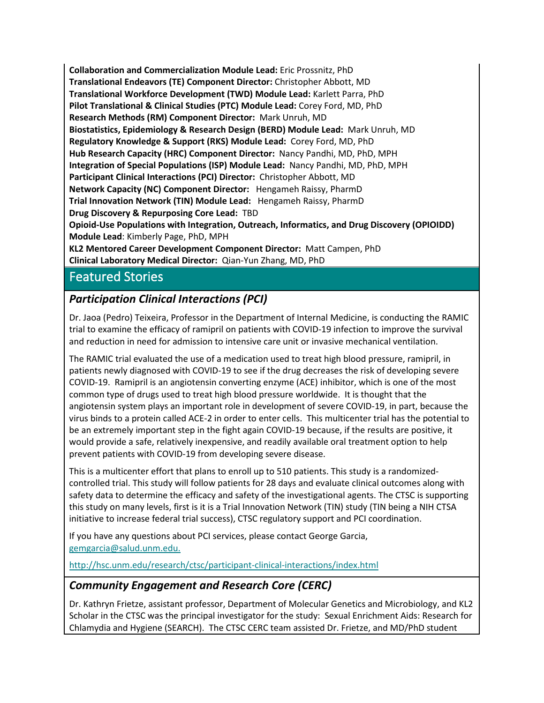**Collaboration and Commercialization Module Lead:** Eric Prossnitz, PhD **Translational Endeavors (TE) Component Director:** Christopher Abbott, MD **Translational Workforce Development (TWD) Module Lead:** Karlett Parra, PhD **Pilot Translational & Clinical Studies (PTC) Module Lead:** Corey Ford, MD, PhD **Research Methods (RM) Component Director:** Mark Unruh, MD **Biostatistics, Epidemiology & Research Design (BERD) Module Lead:** Mark Unruh, MD **Regulatory Knowledge & Support (RKS) Module Lead:** Corey Ford, MD, PhD **Hub Research Capacity (HRC) Component Director:** Nancy Pandhi, MD, PhD, MPH **Integration of Special Populations (ISP) Module Lead:** Nancy Pandhi, MD, PhD, MPH **Participant Clinical Interactions (PCI) Director:** Christopher Abbott, MD **Network Capacity (NC) Component Director:** Hengameh Raissy, PharmD **Trial Innovation Network (TIN) Module Lead:** Hengameh Raissy, PharmD **Drug Discovery & Repurposing Core Lead:** TBD **Opioid-Use Populations with Integration, Outreach, Informatics, and Drug Discovery (OPIOIDD) Module Lead**: Kimberly Page, PhD, MPH

**KL2 Mentored Career Development Component Director:** Matt Campen, PhD **Clinical Laboratory Medical Director:** Qian-Yun Zhang, MD, PhD

## Featured Stories

## *Participation Clinical Interactions (PCI)*

Dr. Jaoa (Pedro) Teixeira, Professor in the Department of Internal Medicine, is conducting the RAMIC trial to examine the efficacy of ramipril on patients with COVID-19 infection to improve the survival and reduction in need for admission to intensive care unit or invasive mechanical ventilation.

The RAMIC trial evaluated the use of a medication used to treat high blood pressure, ramipril, in patients newly diagnosed with COVID-19 to see if the drug decreases the risk of developing severe COVID-19. Ramipril is an angiotensin converting enzyme (ACE) inhibitor, which is one of the most common type of drugs used to treat high blood pressure worldwide. It is thought that the angiotensin system plays an important role in development of severe COVID-19, in part, because the virus binds to a protein called ACE-2 in order to enter cells. This multicenter trial has the potential to be an extremely important step in the fight again COVID-19 because, if the results are positive, it would provide a safe, relatively inexpensive, and readily available oral treatment option to help prevent patients with COVID-19 from developing severe disease.

This is a multicenter effort that plans to enroll up to 510 patients. This study is a randomizedcontrolled trial. This study will follow patients for 28 days and evaluate clinical outcomes along with safety data to determine the efficacy and safety of the investigational agents. The CTSC is supporting this study on many levels, first is it is a Trial Innovation Network (TIN) study (TIN being a NIH CTSA initiative to increase federal trial success), CTSC regulatory support and PCI coordination.

If you have any questions about PCI services, please contact George Garcia, [gemgarcia@salud.unm.edu.](mailto:gemgarcia@salud.unm.edu)

<http://hsc.unm.edu/research/ctsc/participant-clinical-interactions/index.html>

## *Community Engagement and Research Core (CERC)*

Dr. Kathryn Frietze, assistant professor, Department of Molecular Genetics and Microbiology, and KL2 Scholar in the CTSC was the principal investigator for the study: Sexual Enrichment Aids: Research for Chlamydia and Hygiene (SEARCH). The CTSC CERC team assisted Dr. Frietze, and MD/PhD student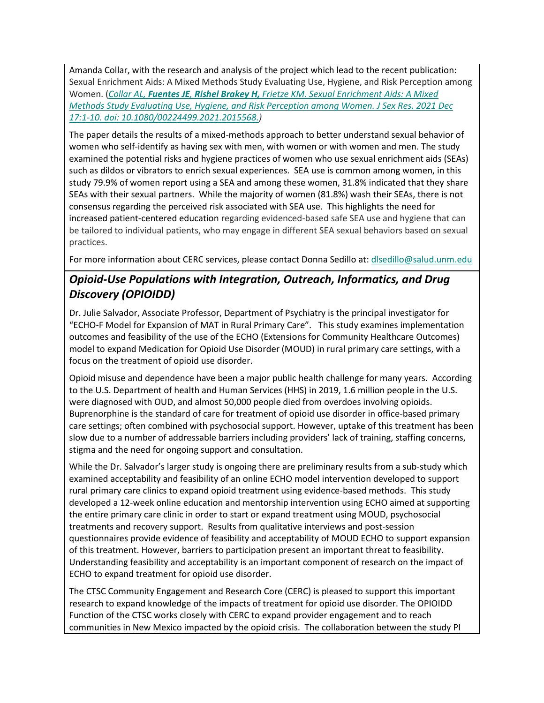Amanda Collar, with the research and analysis of the project which lead to the recent publication: Sexual Enrichment Aids: A Mixed Methods Study Evaluating Use, Hygiene, and Risk Perception among Women. (*Collar AL, Fuentes JE, Rishel Brakey H, [Frietze KM. Sexual Enrichment Aids: A Mixed](mailto:https://www.tandfonline.com/doi/full/10.1080/00224499.2021.2015568)  [Methods Study Evaluating Use, Hygiene, and Risk Perception among Women. J Sex Res. 2021 Dec](mailto:https://www.tandfonline.com/doi/full/10.1080/00224499.2021.2015568)  [17:1-10. doi: 10.1080/00224499.2021.2015568.\)](mailto:https://www.tandfonline.com/doi/full/10.1080/00224499.2021.2015568)*

The paper details the results of a mixed-methods approach to better understand sexual behavior of women who self-identify as having sex with men, with women or with women and men. The study examined the potential risks and hygiene practices of women who use sexual enrichment aids (SEAs) such as dildos or vibrators to enrich sexual experiences. SEA use is common among women, in this study 79.9% of women report using a SEA and among these women, 31.8% indicated that they share SEAs with their sexual partners. While the majority of women (81.8%) wash their SEAs, there is not consensus regarding the perceived risk associated with SEA use. This highlights the need for increased patient-centered education regarding evidenced-based safe SEA use and hygiene that can be tailored to individual patients, who may engage in different SEA sexual behaviors based on sexual practices.

For more information about CERC services, please contact Donna Sedillo at: [dlsedillo@salud.unm.edu](mailto:dlsedillo@salud.unm.edu)

## *Opioid-Use Populations with Integration, Outreach, Informatics, and Drug Discovery (OPIOIDD)*

Dr. Julie Salvador, Associate Professor, Department of Psychiatry is the principal investigator for "ECHO-F Model for Expansion of MAT in Rural Primary Care". This study examines implementation outcomes and feasibility of the use of the ECHO (Extensions for Community Healthcare Outcomes) model to expand Medication for Opioid Use Disorder (MOUD) in rural primary care settings, with a focus on the treatment of opioid use disorder.

Opioid misuse and dependence have been a major public health challenge for many years. According to the U.S. Department of health and Human Services (HHS) in 2019, 1.6 million people in the U.S. were diagnosed with OUD, and almost 50,000 people died from overdoes involving opioids. Buprenorphine is the standard of care for treatment of opioid use disorder in office-based primary care settings; often combined with psychosocial support. However, uptake of this treatment has been slow due to a number of addressable barriers including providers' lack of training, staffing concerns, stigma and the need for ongoing support and consultation.

While the Dr. Salvador's larger study is ongoing there are preliminary results from a sub-study which examined acceptability and feasibility of an online ECHO model intervention developed to support rural primary care clinics to expand opioid treatment using evidence-based methods. This study developed a 12-week online education and mentorship intervention using ECHO aimed at supporting the entire primary care clinic in order to start or expand treatment using MOUD, psychosocial treatments and recovery support. Results from qualitative interviews and post-session questionnaires provide evidence of feasibility and acceptability of MOUD ECHO to support expansion of this treatment. However, barriers to participation present an important threat to feasibility. Understanding feasibility and acceptability is an important component of research on the impact of ECHO to expand treatment for opioid use disorder.

The CTSC Community Engagement and Research Core (CERC) is pleased to support this important research to expand knowledge of the impacts of treatment for opioid use disorder. The OPIOIDD Function of the CTSC works closely with CERC to expand provider engagement and to reach communities in New Mexico impacted by the opioid crisis. The collaboration between the study PI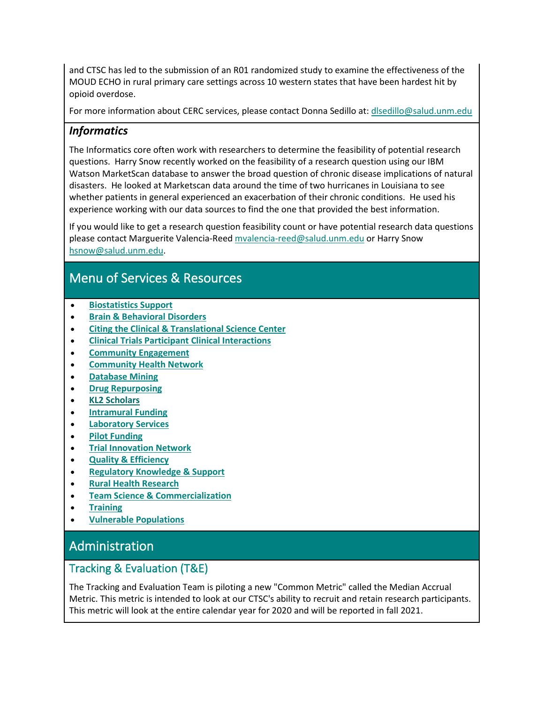and CTSC has led to the submission of an R01 randomized study to examine the effectiveness of the MOUD ECHO in rural primary care settings across 10 western states that have been hardest hit by opioid overdose.

For more information about CERC services, please contact Donna Sedillo at: [dlsedillo@salud.unm.edu](mailto:dlsedillo@salud.unm.edu)

## *Informatics*

The Informatics core often work with researchers to determine the feasibility of potential research questions. Harry Snow recently worked on the feasibility of a research question using our IBM Watson MarketScan database to answer the broad question of chronic disease implications of natural disasters. He looked at Marketscan data around the time of two hurricanes in Louisiana to see whether patients in general experienced an exacerbation of their chronic conditions. He used his experience working with our data sources to find the one that provided the best information.

If you would like to get a research question feasibility count or have potential research data questions please contact Marguerite Valencia-Ree[d mvalencia-reed@salud.unm.edu](mailto:mvalencia-reed@salud.unm.edu) or Harry Snow [hsnow@salud.unm.edu.](mailto:hsnow@salud.unm.edu)

# Menu of Services & Resources

- **[Biostatistics Support](#page-8-0)**
- **Brain & Behavioral Disorders**
- **[Citing the Clinical & Translational Science Center](#page-12-0)**
- **Clinical Trials Participant Clinical Interactions**
- **Community Engagement**
- **Community Health Network**
- **Database Mining**
- **Drug Repurposing**
- **KL2 Scholars**
- **[Intramural Funding](#page-6-0)**
- **Laboratory Services**
- **Pilot [Funding](#page-6-0)**
- **[Trial Innovation Network](#page-10-0)**
- **[Quality & Efficiency](#page-5-0)**
- **[Regulatory Knowledge & Support](#page-9-0)**
- **Rural Health Research**
- **Team Science & Commercialization**
- **[Training](#page-6-1)**
- **Vulnerable Populations**

# Administration

### Tracking & Evaluation (T&E)

The Tracking and Evaluation Team is piloting a new "Common Metric" called the Median Accrual Metric. This metric is intended to look at our CTSC's ability to recruit and retain research participants. This metric will look at the entire calendar year for 2020 and will be reported in fall 2021.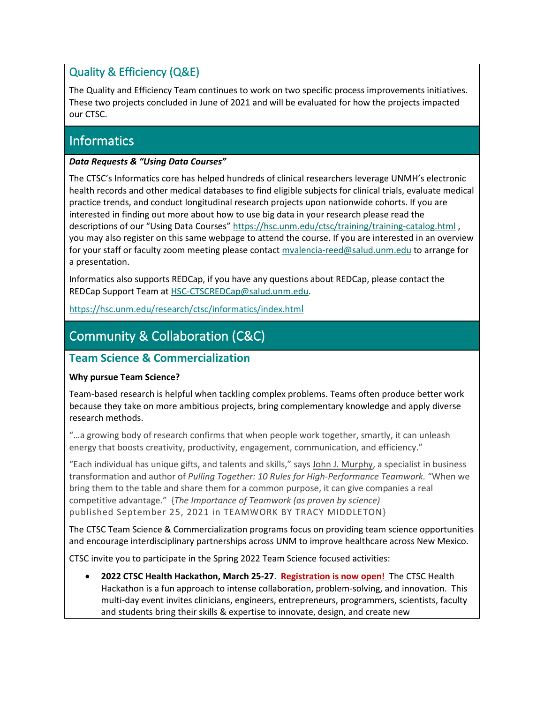## <span id="page-5-0"></span>Quality & Efficiency (Q&E)

The Quality and Efficiency Team continues to work on two specific process improvements initiatives. These two projects concluded in June of 2021 and will be evaluated for how the projects impacted our CTSC.

## **Informatics**

#### *Data Requests & "Using Data Courses"*

The CTSC's Informatics core has helped hundreds of clinical researchers leverage UNMH's electronic health records and other medical databases to find eligible subjects for clinical trials, evaluate medical practice trends, and conduct longitudinal research projects upon nationwide cohorts. If you are interested in finding out more about how to use big data in your research please read the descriptions of our "Using Data Courses"<https://hsc.unm.edu/ctsc/training/training-catalog.html> , you may also register on this same webpage to attend the course. If you are interested in an overview for your staff or faculty zoom meeting please contac[t mvalencia-reed@salud.unm.edu](mailto:mvalencia-reed@salud.unm.edu) to arrange for a presentation.

Informatics also supports REDCap, if you have any questions about REDCap, please contact the REDCap Support Team a[t HSC-CTSCREDCap@salud.unm.edu.](mailto:HSC-CTSCREDCap@salud.unm.edu)

<https://hsc.unm.edu/research/ctsc/informatics/index.html>

# Community & Collaboration (C&C)

#### **Team Science & Commercialization**

#### **Why pursue Team Science?**

Team-based research is helpful when tackling complex problems. Teams often produce better work because they take on more ambitious projects, bring complementary knowledge and apply diverse research methods.

"…a growing body of research confirms that when people work together, smartly, it can unleash energy that boosts creativity, productivity, engagement, communication, and efficiency."

"Each individual has unique gifts, and talents and skills," says [John J. Murphy,](http://www.johnjmurphy.org/) a specialist in business transformation and author of *Pulling Together: 10 Rules for High-Performance Teamwork.* "When we bring them to the table and share them for a common purpose, it can give companies a real competitive advantage." {*The Importance of Teamwork (as proven by science)* published September 25, 2021 in [TEAMWORK](https://www.atlassian.com/blog/teamwork) BY TRACY MIDDLETON}

The CTSC Team Science & Commercialization programs focus on providing team science opportunities and encourage interdisciplinary partnerships across UNM to improve healthcare across New Mexico.

CTSC invite you to participate in the Spring 2022 Team Science focused activities:

• **2022 CTSC Health Hackathon, March 25-27**. **[Registration is now open!](https://hsc.unm.edu/ctsc/events/hackathon.html)** The CTSC Health Hackathon is a fun approach to intense collaboration, problem-solving, and innovation. This multi-day event invites clinicians, engineers, entrepreneurs, programmers, scientists, faculty and students bring their skills & expertise to innovate, design, and create new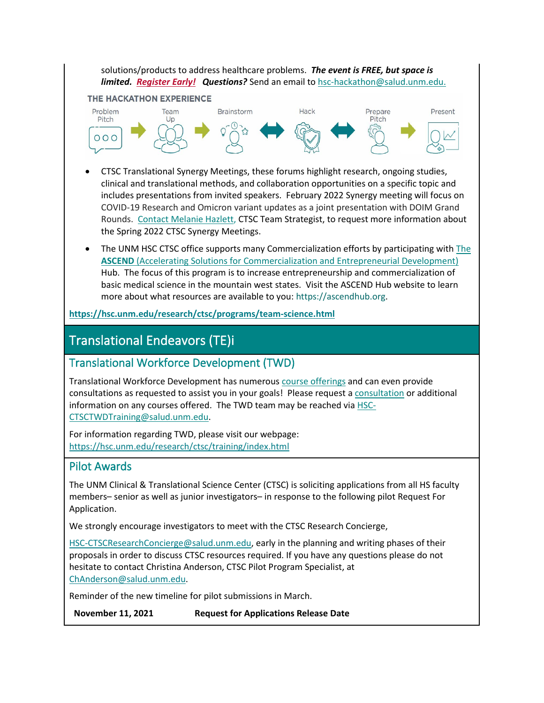solutions/products to address healthcare problems. *The event is FREE, but space is limited. [Register Early!](https://app.smartsheet.com/b/form/14df92d90a4a488e989494750647aa8f) Questions?* Send an email to [hsc-hackathon@salud.unm.edu.](mailto:hsc-hackathon@salud.unm.edu)

#### THE HACKATHON EXPERIENCE



- CTSC Translational Synergy Meetings, these forums highlight research, ongoing studies, clinical and translational methods, and collaboration opportunities on a specific topic and includes presentations from invited speakers. February 2022 Synergy meeting will focus on COVID-19 Research and Omicron variant updates as a joint presentation with DOIM Grand Rounds. [Contact Melanie Hazlett,](mailto:mhazlett@salud.unm.edu) CTSC Team Strategist, to request more information about the Spring 2022 CTSC Synergy Meetings.
- The UNM HSC CTSC office supports many Commercialization efforts by participating with The **ASCEND** [\(Accelerating Solutions for Commercialization and Entrepreneurial Development\)](https://ascendhub.org/) Hub. The focus of this program is to increase entrepreneurship and commercialization of basic medical science in the mountain west states. Visit the ASCEND Hub website to learn more about what resources are available to you: https://ascendhub.org.

**<https://hsc.unm.edu/research/ctsc/programs/team-science.html>**

# Translational Endeavors (TE)i

### <span id="page-6-1"></span>Translational Workforce Development (TWD)

Translational Workforce Development has numerous [course offerings](https://hsc.unm.edu/research/ctsc/training/training-summaries/) and can even provide consultations as requested to assist you in your goals! Please request [a consultation](https://ctsctrials.health.unm.edu/redcap/surveys/?s=LEJC8CWYLT) or additional information on any courses offered. The TWD team may be reached via [HSC-](mailto:HSC-CTSCTWDTraining@salud.unm.edu)[CTSCTWDTraining@salud.unm.edu.](mailto:HSC-CTSCTWDTraining@salud.unm.edu)

For information regarding TWD, please visit our webpage: <https://hsc.unm.edu/research/ctsc/training/index.html>

#### <span id="page-6-0"></span>Pilot Awards

The UNM Clinical & Translational Science Center (CTSC) is soliciting applications from all HS faculty members– senior as well as junior investigators– in response to the following pilot Request For Application.

We strongly encourage investigators to meet with the CTSC Research Concierge,

[HSC-CTSCResearchConcierge@salud.unm.edu,](mailto:HSC-CTSCResearchConcierge@salud.unm.edu) early in the planning and writing phases of their proposals in order to discuss CTSC resources required. If you have any questions please do not hesitate to contact Christina Anderson, CTSC Pilot Program Specialist, at [ChAnderson@salud.unm.edu.](mailto:ChAnderson@salud.unm.edu)

Reminder of the new timeline for pilot submissions in March.

**November 11, 2021 Request for Applications Release Date**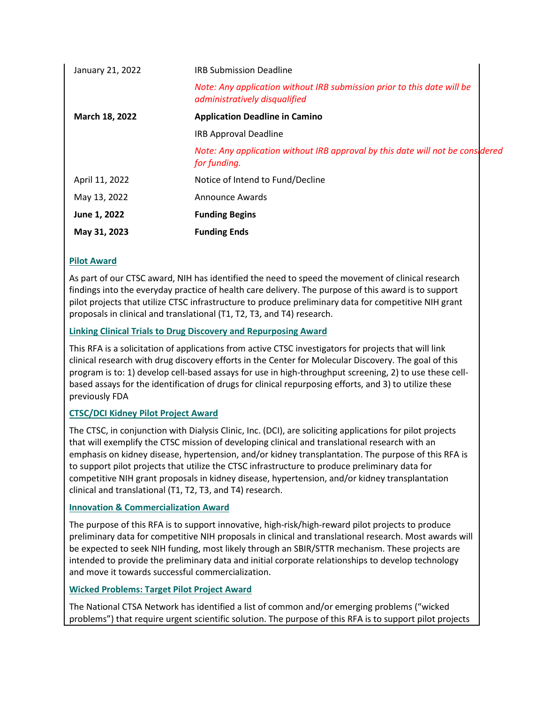| <b>Funding Begins</b>                                                                                    |
|----------------------------------------------------------------------------------------------------------|
| <b>Announce Awards</b>                                                                                   |
| Notice of Intend to Fund/Decline                                                                         |
| Note: Any application without IRB approval by this date will not be considered<br>for funding.           |
| <b>IRB Approval Deadline</b>                                                                             |
| <b>Application Deadline in Camino</b>                                                                    |
| Note: Any application without IRB submission prior to this date will be<br>administratively disqualified |
| <b>IRB Submission Deadline</b>                                                                           |
|                                                                                                          |

#### **[Pilot Award](https://hsc.unm.edu/ctsc/pilot-funding/current-opportunities.html)**

As part of our CTSC award, NIH has identified the need to speed the movement of clinical research findings into the everyday practice of health care delivery. The purpose of this award is to support pilot projects that utilize CTSC infrastructure to produce preliminary data for competitive NIH grant proposals in clinical and translational (T1, T2, T3, and T4) research.

#### **[Linking Clinical Trials to Drug Discovery and Repurposing Award](https://hsc.unm.edu/ctsc/pilot-funding/current-opportunities.html)**

This RFA is a solicitation of applications from active CTSC investigators for projects that will link clinical research with drug discovery efforts in the Center for Molecular Discovery. The goal of this program is to: 1) develop cell-based assays for use in high-throughput screening, 2) to use these cellbased assays for the identification of drugs for clinical repurposing efforts, and 3) to utilize these previously FDA

#### **[CTSC/DCI Kidney Pilot Project Award](https://hsc.unm.edu/ctsc/pilot-funding/current-opportunities.html)**

The CTSC, in conjunction with Dialysis Clinic, Inc. (DCI), are soliciting applications for pilot projects that will exemplify the CTSC mission of developing clinical and translational research with an emphasis on kidney disease, hypertension, and/or kidney transplantation. The purpose of this RFA is to support pilot projects that utilize the CTSC infrastructure to produce preliminary data for competitive NIH grant proposals in kidney disease, hypertension, and/or kidney transplantation clinical and translational (T1, T2, T3, and T4) research.

#### **[Innovation & Commercialization Award](https://hsc.unm.edu/ctsc/pilot-funding/current-opportunities.html)**

The purpose of this RFA is to support innovative, high-risk/high-reward pilot projects to produce preliminary data for competitive NIH proposals in clinical and translational research. Most awards will be expected to seek NIH funding, most likely through an SBIR/STTR mechanism. These projects are intended to provide the preliminary data and initial corporate relationships to develop technology and move it towards successful commercialization.

#### **[Wicked Problems: Target Pilot Project Award](https://hsc.unm.edu/ctsc/pilot-funding/current-opportunities.html)**

The National CTSA Network has identified a list of common and/or emerging problems ("wicked problems") that require urgent scientific solution. The purpose of this RFA is to support pilot projects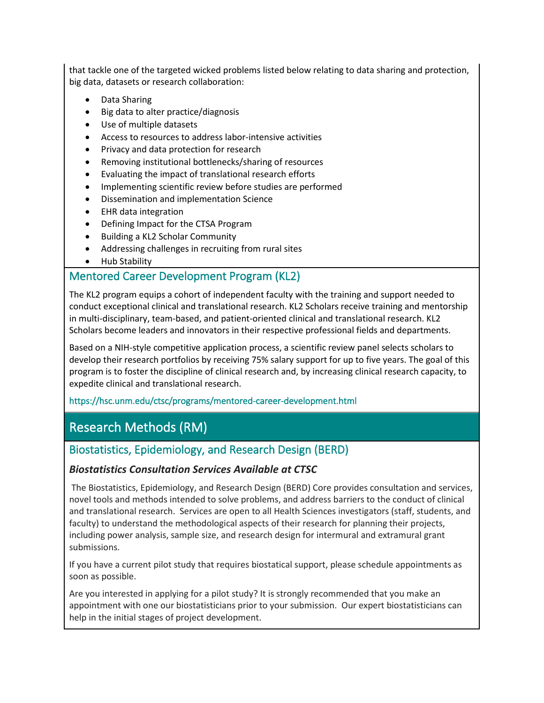that tackle one of the targeted wicked problems listed below relating to data sharing and protection, big data, datasets or research collaboration:

- Data Sharing
- Big data to alter practice/diagnosis
- Use of multiple datasets
- Access to resources to address labor-intensive activities
- Privacy and data protection for research
- Removing institutional bottlenecks/sharing of resources
- Evaluating the impact of translational research efforts
- Implementing scientific review before studies are performed
- Dissemination and implementation Science
- EHR data integration
- Defining Impact for the CTSA Program
- Building a KL2 Scholar Community
- Addressing challenges in recruiting from rural sites
- Hub Stability

### Mentored Career Development Program (KL2)

The KL2 program equips a cohort of independent faculty with the training and support needed to conduct exceptional clinical and translational research. KL2 Scholars receive training and mentorship in multi-disciplinary, team-based, and patient-oriented clinical and translational research. KL2 Scholars become leaders and innovators in their respective professional fields and departments.

Based on a NIH-style competitive application process, a scientific review panel selects scholars to develop their research portfolios by receiving 75% salary support for up to five years. The goal of this program is to foster the discipline of clinical research and, by increasing clinical research capacity, to expedite clinical and translational research.

#### https://hsc.unm.edu/ctsc/programs/mentored-career-development.html

# Research Methods (RM)

### <span id="page-8-0"></span>Biostatistics, Epidemiology, and Research Design (BERD)

#### *Biostatistics Consultation Services Available at CTSC*

The Biostatistics, Epidemiology, and Research Design (BERD) Core provides consultation and services, novel tools and methods intended to solve problems, and address barriers to the conduct of clinical and translational research. Services are open to all Health Sciences investigators (staff, students, and faculty) to understand the methodological aspects of their research for planning their projects, including power analysis, sample size, and research design for intermural and extramural grant submissions.

If you have a current pilot study that requires biostatical support, please schedule appointments as soon as possible.

Are you interested in applying for a pilot study? It is strongly recommended that you make an appointment with one our biostatisticians prior to your submission. Our expert biostatisticians can help in the initial stages of project development.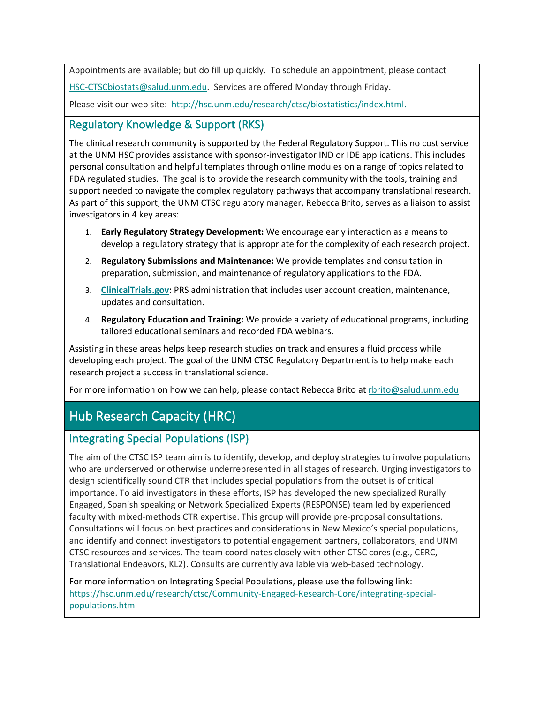Appointments are available; but do fill up quickly. To schedule an appointment, please contact [HSC-CTSCbiostats@salud.unm.edu.](mailto:HSC-CTSCbiostats@salud.unm.edu) Services are offered Monday through Friday. Please visit our web site: [http://hsc.unm.edu/research/ctsc/biostatistics/index.html.](http://hsc.unm.edu/research/ctsc/biostatistics/index.html)

## <span id="page-9-0"></span>Regulatory Knowledge & Support (RKS)

The clinical research community is supported by the Federal Regulatory Support. This no cost service at the UNM HSC provides assistance with sponsor-investigator IND or IDE applications. This includes personal consultation and helpful templates through online modules on a range of topics related to FDA regulated studies. The goal is to provide the research community with the tools, training and support needed to navigate the complex regulatory pathways that accompany translational research. As part of this support, the UNM CTSC regulatory manager, Rebecca Brito, serves as a liaison to assist investigators in 4 key areas:

- 1. **Early Regulatory Strategy Development:** We encourage early interaction as a means to develop a regulatory strategy that is appropriate for the complexity of each research project.
- 2. **Regulatory Submissions and Maintenance:** We provide templates and consultation in preparation, submission, and maintenance of regulatory applications to the FDA.
- 3. **[ClinicalTrials.gov:](https://clinicaltrials.gov/)** PRS administration that includes user account creation, maintenance, updates and consultation.
- 4. **Regulatory Education and Training:** We provide a variety of educational programs, including tailored educational seminars and recorded FDA webinars.

Assisting in these areas helps keep research studies on track and ensures a fluid process while developing each project. The goal of the UNM CTSC Regulatory Department is to help make each research project a success in translational science.

For more information on how we can help, please contact Rebecca Brito a[t rbrito@salud.unm.edu](mailto:rbrito@salud.unm.edu)

# Hub Research Capacity (HRC)

## Integrating Special Populations (ISP)

The aim of the CTSC ISP team aim is to identify, develop, and deploy strategies to involve populations who are underserved or otherwise underrepresented in all stages of research. Urging investigators to design scientifically sound CTR that includes special populations from the outset is of critical importance. To aid investigators in these efforts, ISP has developed the new specialized Rurally Engaged, Spanish speaking or Network Specialized Experts (RESPONSE) team led by experienced faculty with mixed-methods CTR expertise. This group will provide pre-proposal consultations*.* Consultations will focus on best practices and considerations in New Mexico's special populations, and identify and connect investigators to potential engagement partners, collaborators, and UNM CTSC resources and services. The team coordinates closely with other CTSC cores (e.g., CERC, Translational Endeavors, KL2). Consults are currently available via web-based technology.

For more information on Integrating Special Populations, please use the following link: [https://hsc.unm.edu/research/ctsc/Community-Engaged-Research-Core/integrating-special](https://hsc.unm.edu/research/ctsc/Community-Engaged-Research-Core/integrating-special-populations.html)[populations.html](https://hsc.unm.edu/research/ctsc/Community-Engaged-Research-Core/integrating-special-populations.html)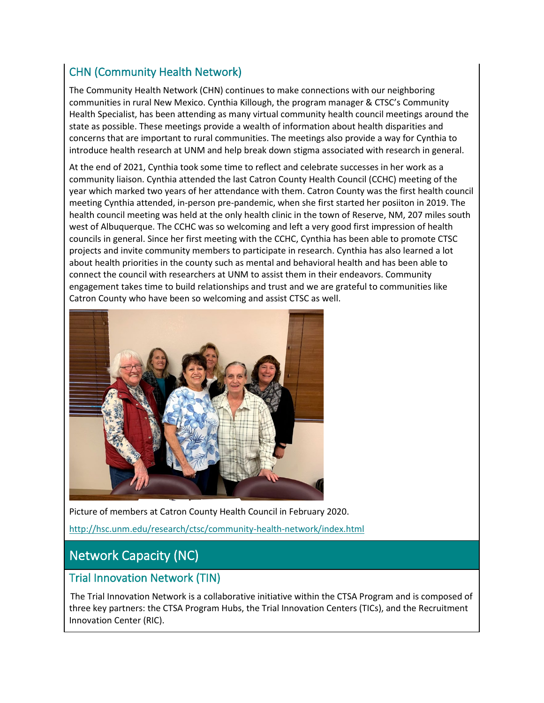## CHN (Community Health Network)

The Community Health Network (CHN) continues to make connections with our neighboring communities in rural New Mexico. Cynthia Killough, the program manager & CTSC's Community Health Specialist, has been attending as many virtual community health council meetings around the state as possible. These meetings provide a wealth of information about health disparities and concerns that are important to rural communities. The meetings also provide a way for Cynthia to introduce health research at UNM and help break down stigma associated with research in general.

At the end of 2021, Cynthia took some time to reflect and celebrate successes in her work as a community liaison. Cynthia attended the last Catron County Health Council (CCHC) meeting of the year which marked two years of her attendance with them. Catron County was the first health council meeting Cynthia attended, in-person pre-pandemic, when she first started her posiiton in 2019. The health council meeting was held at the only health clinic in the town of Reserve, NM, 207 miles south west of Albuquerque. The CCHC was so welcoming and left a very good first impression of health councils in general. Since her first meeting with the CCHC, Cynthia has been able to promote CTSC projects and invite community members to participate in research. Cynthia has also learned a lot about health priorities in the county such as mental and behavioral health and has been able to connect the council with researchers at UNM to assist them in their endeavors. Community engagement takes time to build relationships and trust and we are grateful to communities like Catron County who have been so welcoming and assist CTSC as well.



Picture of members at Catron County Health Council in February 2020. <http://hsc.unm.edu/research/ctsc/community-health-network/index.html>

# Network Capacity (NC)

### <span id="page-10-0"></span>Trial Innovation Network (TIN)

The Trial Innovation Network is a collaborative initiative within the CTSA Program and is composed of three key partners: the CTSA Program Hubs, the Trial Innovation Centers (TICs), and the Recruitment Innovation Center (RIC).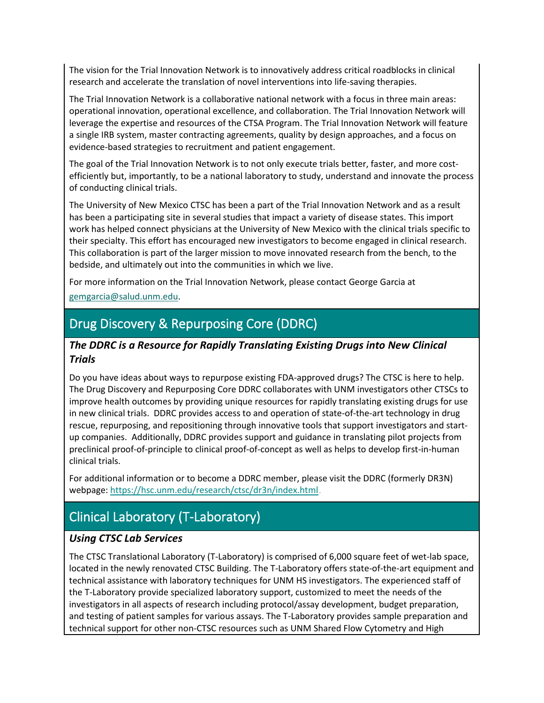The vision for the Trial Innovation Network is to innovatively address critical roadblocks in clinical research and accelerate the translation of novel interventions into life-saving therapies.

The Trial Innovation Network is a collaborative national network with a focus in three main areas: operational innovation, operational excellence, and collaboration. The Trial Innovation Network will leverage the expertise and resources of the CTSA Program. The Trial Innovation Network will feature a single IRB system, master contracting agreements, quality by design approaches, and a focus on evidence-based strategies to recruitment and patient engagement.

The goal of the Trial Innovation Network is to not only execute trials better, faster, and more costefficiently but, importantly, to be a national laboratory to study, understand and innovate the process of conducting clinical trials.

The University of New Mexico CTSC has been a part of the Trial Innovation Network and as a result has been a participating site in several studies that impact a variety of disease states. This import work has helped connect physicians at the University of New Mexico with the clinical trials specific to their specialty. This effort has encouraged new investigators to become engaged in clinical research. This collaboration is part of the larger mission to move innovated research from the bench, to the bedside, and ultimately out into the communities in which we live.

For more information on the Trial Innovation Network, please contact George Garcia at

[gemgarcia@salud.unm.edu.](mailto:gemgarcia@salud.unm.edu)

# Drug Discovery & Repurposing Core (DDRC)

#### *The DDRC is a Resource for Rapidly Translating Existing Drugs into New Clinical Trials*

Do you have ideas about ways to repurpose existing FDA-approved drugs? The CTSC is here to help. The Drug Discovery and Repurposing Core DDRC collaborates with UNM investigators other CTSCs to improve health outcomes by providing unique resources for rapidly translating existing drugs for use in new clinical trials. DDRC provides access to and operation of state-of-the-art technology in drug rescue, repurposing, and repositioning through innovative tools that support investigators and startup companies. Additionally, DDRC provides support and guidance in translating pilot projects from preclinical proof-of-principle to clinical proof-of-concept as well as helps to develop first-in-human clinical trials.

For additional information or to become a DDRC member, please visit the DDRC (formerly DR3N) webpage:<https://hsc.unm.edu/research/ctsc/dr3n/index.html> .

# Clinical Laboratory (T-Laboratory)

#### *Using CTSC Lab Services*

The CTSC Translational Laboratory (T-Laboratory) is comprised of 6,000 square feet of wet-lab space, located in the newly renovated CTSC Building. The T-Laboratory offers state-of-the-art equipment and technical assistance with laboratory techniques for UNM HS investigators. The experienced staff of the T-Laboratory provide specialized laboratory support, customized to meet the needs of the investigators in all aspects of research including protocol/assay development, budget preparation, and testing of patient samples for various assays. The T-Laboratory provides sample preparation and technical support for other non-CTSC resources such as UNM Shared Flow Cytometry and High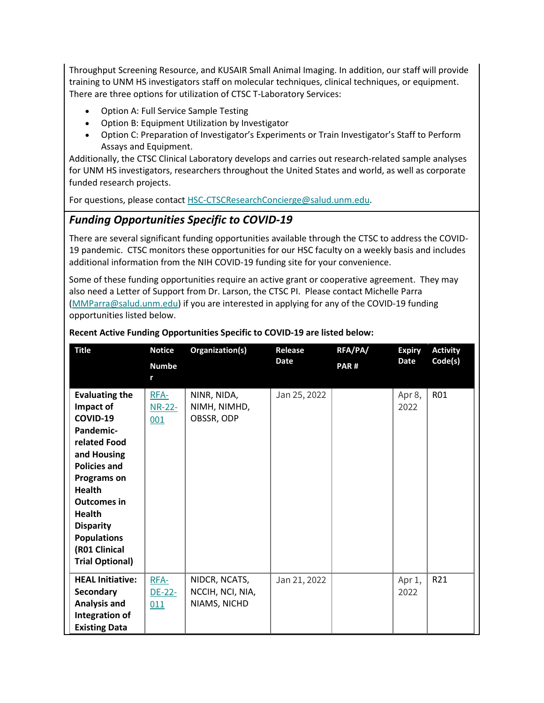Throughput Screening Resource, and KUSAIR Small Animal Imaging. In addition, our staff will provide training to UNM HS investigators staff on molecular techniques, clinical techniques, or equipment. There are three options for utilization of CTSC T-Laboratory Services:

- Option A: Full Service Sample Testing
- Option B: Equipment Utilization by Investigator
- Option C: Preparation of Investigator's Experiments or Train Investigator's Staff to Perform Assays and Equipment.

Additionally, the CTSC Clinical Laboratory develops and carries out research-related sample analyses for UNM HS investigators, researchers throughout the United States and world, as well as corporate funded research projects.

For questions, please contact [HSC-CTSCResearchConcierge@salud.unm.edu.](mailto:HSC-CTSCResearchConcierge@salud.unm.edu)

### <span id="page-12-0"></span>*Funding Opportunities Specific to COVID-19*

There are several significant funding opportunities available through the CTSC to address the COVID-19 pandemic. CTSC monitors these opportunities for our HSC faculty on a weekly basis and includes additional information from the NIH COVID-19 funding site for your convenience.

Some of these funding opportunities require an active grant or cooperative agreement. They may also need a Letter of Support from Dr. Larson, the CTSC PI. Please contact Michelle Parra [\(MMParra@salud.unm.edu\)](mailto:MMParra@salud.unm.edu) if you are interested in applying for any of the COVID-19 funding opportunities listed below.

| <b>Title</b>                                                                                                                                                                                                                                                                         | <b>Notice</b>           | Organization(s)                                   | Release      | RFA/PA/ | <b>Expiry</b>  | <b>Activity</b> |
|--------------------------------------------------------------------------------------------------------------------------------------------------------------------------------------------------------------------------------------------------------------------------------------|-------------------------|---------------------------------------------------|--------------|---------|----------------|-----------------|
|                                                                                                                                                                                                                                                                                      | <b>Numbe</b><br>r       |                                                   | <b>Date</b>  | PAR#    | <b>Date</b>    | Code(s)         |
| <b>Evaluating the</b><br>Impact of<br>COVID-19<br>Pandemic-<br>related Food<br>and Housing<br><b>Policies and</b><br><b>Programs on</b><br><b>Health</b><br><b>Outcomes in</b><br><b>Health</b><br><b>Disparity</b><br><b>Populations</b><br>(R01 Clinical<br><b>Trial Optional)</b> | RFA-<br>$NR-22-$<br>001 | NINR, NIDA,<br>NIMH, NIMHD,<br>OBSSR, ODP         | Jan 25, 2022 |         | Apr 8,<br>2022 | R01             |
| <b>HEAL Initiative:</b><br>Secondary<br><b>Analysis and</b><br>Integration of<br><b>Existing Data</b>                                                                                                                                                                                | RFA-<br>$DE-22-$<br>011 | NIDCR, NCATS,<br>NCCIH, NCI, NIA,<br>NIAMS, NICHD | Jan 21, 2022 |         | Apr 1,<br>2022 | R21             |

#### **Recent Active Funding Opportunities Specific to COVID-19 are listed below:**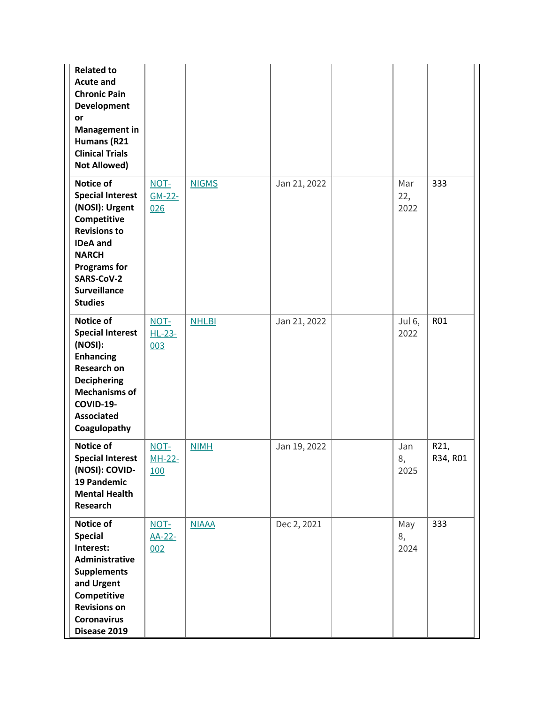| <b>Related to</b><br><b>Acute and</b><br><b>Chronic Pain</b><br><b>Development</b><br>or<br><b>Management in</b><br>Humans (R21<br><b>Clinical Trials</b><br><b>Not Allowed)</b>                              |                         |              |              |                            |                  |
|---------------------------------------------------------------------------------------------------------------------------------------------------------------------------------------------------------------|-------------------------|--------------|--------------|----------------------------|------------------|
| Notice of<br><b>Special Interest</b><br>(NOSI): Urgent<br>Competitive<br><b>Revisions to</b><br><b>IDeA</b> and<br><b>NARCH</b><br><b>Programs for</b><br>SARS-CoV-2<br><b>Surveillance</b><br><b>Studies</b> | NOT-<br>$GM-22-$<br>026 | <b>NIGMS</b> | Jan 21, 2022 | Mar<br>22,<br>2022         | 333              |
| Notice of<br><b>Special Interest</b><br>(NOSI):<br><b>Enhancing</b><br><b>Research on</b><br><b>Deciphering</b><br><b>Mechanisms of</b><br>COVID-19-<br><b>Associated</b><br>Coagulopathy                     | NOT-<br>$HL-23-$<br>003 | <b>NHLBI</b> | Jan 21, 2022 | Jul <sub>6</sub> ,<br>2022 | R01              |
| Notice of<br><b>Special Interest</b><br>(NOSI): COVID-<br>19 Pandemic<br><b>Mental Health</b><br>Research                                                                                                     | NOT-<br>$MH-22-$<br>100 | <b>NIMH</b>  | Jan 19, 2022 | Jan<br>8,<br>2025          | R21,<br>R34, R01 |
| Notice of<br><b>Special</b><br>Interest:<br><b>Administrative</b><br><b>Supplements</b><br>and Urgent<br>Competitive<br><b>Revisions on</b><br><b>Coronavirus</b><br>Disease 2019                             | NOT-<br>AA-22-<br>002   | <b>NIAAA</b> | Dec 2, 2021  | May<br>8,<br>2024          | 333              |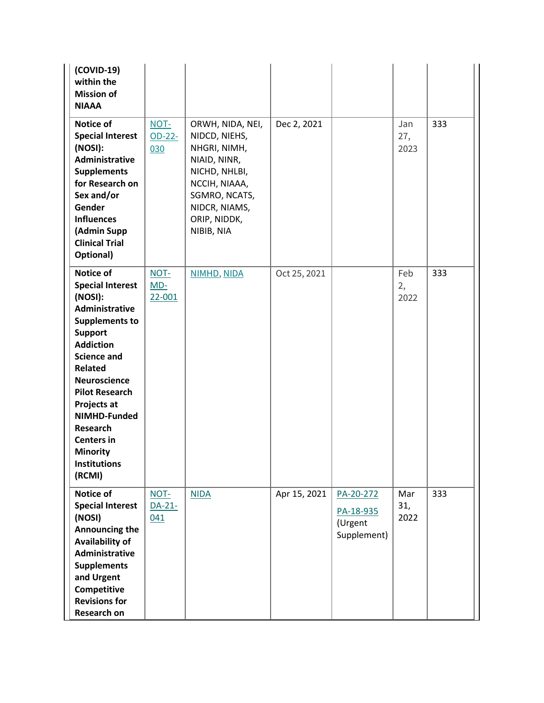| (COVID-19)<br>within the<br><b>Mission of</b><br><b>NIAAA</b>                                                                                                                                                                                                                                                                                |                         |                                                                                                                                                                     |              |                                                  |                    |     |
|----------------------------------------------------------------------------------------------------------------------------------------------------------------------------------------------------------------------------------------------------------------------------------------------------------------------------------------------|-------------------------|---------------------------------------------------------------------------------------------------------------------------------------------------------------------|--------------|--------------------------------------------------|--------------------|-----|
| Notice of<br><b>Special Interest</b><br>(NOSI):<br>Administrative<br><b>Supplements</b><br>for Research on<br>Sex and/or<br>Gender<br><b>Influences</b><br>(Admin Supp<br><b>Clinical Trial</b><br>Optional)                                                                                                                                 | NOT-<br>$OD-22-$<br>030 | ORWH, NIDA, NEI,<br>NIDCD, NIEHS,<br>NHGRI, NIMH,<br>NIAID, NINR,<br>NICHD, NHLBI,<br>NCCIH, NIAAA,<br>SGMRO, NCATS,<br>NIDCR, NIAMS,<br>ORIP, NIDDK,<br>NIBIB, NIA | Dec 2, 2021  |                                                  | Jan<br>27,<br>2023 | 333 |
| Notice of<br><b>Special Interest</b><br>(NOSI):<br>Administrative<br><b>Supplements to</b><br><b>Support</b><br><b>Addiction</b><br><b>Science and</b><br>Related<br><b>Neuroscience</b><br><b>Pilot Research</b><br>Projects at<br>NIMHD-Funded<br><b>Research</b><br><b>Centers in</b><br><b>Minority</b><br><b>Institutions</b><br>(RCMI) | NOT-<br>$MD-$<br>22-001 | NIMHD, NIDA                                                                                                                                                         | Oct 25, 2021 |                                                  | Feb<br>2,<br>2022  | 333 |
| Notice of<br><b>Special Interest</b><br>(NOSI)<br>Announcing the<br><b>Availability of</b><br>Administrative<br><b>Supplements</b><br>and Urgent<br>Competitive<br><b>Revisions for</b><br>Research on                                                                                                                                       | NOT-<br>$DA-21-$<br>041 | <b>NIDA</b>                                                                                                                                                         | Apr 15, 2021 | PA-20-272<br>PA-18-935<br>(Urgent<br>Supplement) | Mar<br>31,<br>2022 | 333 |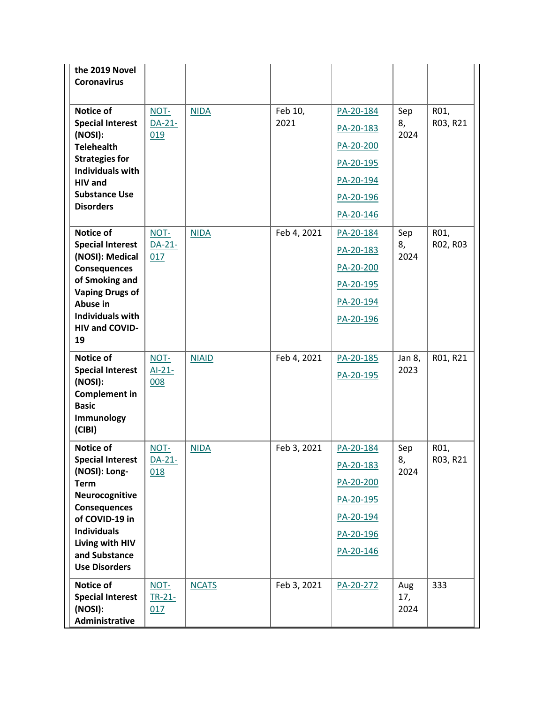| the 2019 Novel<br><b>Coronavirus</b>       |                  |              |             |           |            |          |
|--------------------------------------------|------------------|--------------|-------------|-----------|------------|----------|
| Notice of                                  | NOT-             | <b>NIDA</b>  | Feb 10,     | PA-20-184 | Sep        | R01,     |
| <b>Special Interest</b>                    | DA-21-           |              | 2021        | PA-20-183 | 8,         | R03, R21 |
| (NOSI):<br><b>Telehealth</b>               | 019              |              |             | PA-20-200 | 2024       |          |
| <b>Strategies for</b>                      |                  |              |             | PA-20-195 |            |          |
| <b>Individuals with</b><br><b>HIV</b> and  |                  |              |             | PA-20-194 |            |          |
| <b>Substance Use</b>                       |                  |              |             | PA-20-196 |            |          |
| <b>Disorders</b>                           |                  |              |             | PA-20-146 |            |          |
| Notice of                                  | NOT-             | <b>NIDA</b>  | Feb 4, 2021 | PA-20-184 | Sep        | R01,     |
| <b>Special Interest</b><br>(NOSI): Medical | $DA-21-$<br>017  |              |             | PA-20-183 | 8,<br>2024 | R02, R03 |
| <b>Consequences</b>                        |                  |              |             | PA-20-200 |            |          |
| of Smoking and                             |                  |              |             | PA-20-195 |            |          |
| <b>Vaping Drugs of</b><br>Abuse in         |                  |              |             | PA-20-194 |            |          |
| <b>Individuals with</b>                    |                  |              |             | PA-20-196 |            |          |
| HIV and COVID-<br>19                       |                  |              |             |           |            |          |
| Notice of                                  | NOT-             | <b>NIAID</b> | Feb 4, 2021 | PA-20-185 | Jan 8,     | R01, R21 |
| <b>Special Interest</b>                    | $AI-21-$         |              |             | PA-20-195 | 2023       |          |
| (NOSI):<br><b>Complement in</b>            | 008              |              |             |           |            |          |
| <b>Basic</b>                               |                  |              |             |           |            |          |
| Immunology<br>(CIBI)                       |                  |              |             |           |            |          |
| Notice of                                  | $NOT -$          | <b>NIDA</b>  | Feb 3, 2021 | PA-20-184 | Sep        | R01,     |
| <b>Special Interest</b>                    | $DA-21-$         |              |             | PA-20-183 | 8,         | R03, R21 |
| (NOSI): Long-<br><b>Term</b>               | 018              |              |             | PA-20-200 | 2024       |          |
| Neurocognitive                             |                  |              |             | PA-20-195 |            |          |
| <b>Consequences</b><br>of COVID-19 in      |                  |              |             | PA-20-194 |            |          |
| <b>Individuals</b>                         |                  |              |             | PA-20-196 |            |          |
| Living with HIV<br>and Substance           |                  |              |             | PA-20-146 |            |          |
| <b>Use Disorders</b>                       |                  |              |             |           |            |          |
| Notice of<br><b>Special Interest</b>       | NOT-<br>$TR-21-$ | <b>NCATS</b> | Feb 3, 2021 | PA-20-272 | Aug<br>17, | 333      |
| (NOSI):                                    | 017              |              |             |           | 2024       |          |
| Administrative                             |                  |              |             |           |            |          |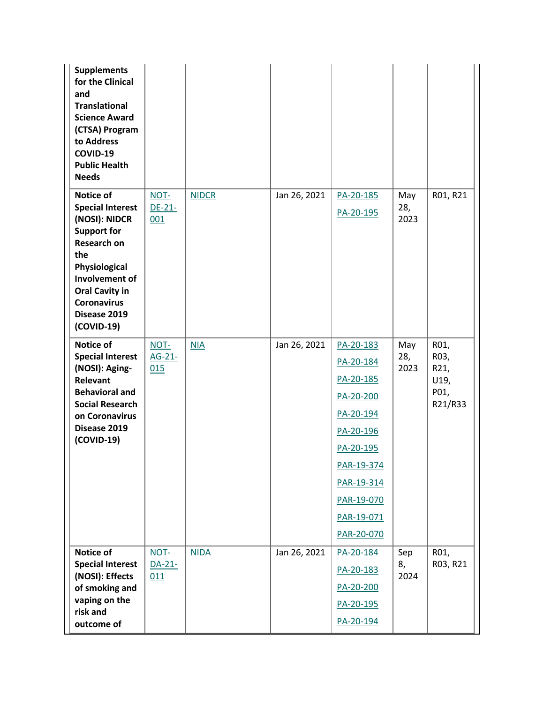| <b>Supplements</b><br>for the Clinical<br>and<br><b>Translational</b><br><b>Science Award</b><br>(CTSA) Program<br>to Address<br>COVID-19<br><b>Public Health</b><br><b>Needs</b>                                        |                         |              |              |                                                                                                                                                               |                    |                                                 |
|--------------------------------------------------------------------------------------------------------------------------------------------------------------------------------------------------------------------------|-------------------------|--------------|--------------|---------------------------------------------------------------------------------------------------------------------------------------------------------------|--------------------|-------------------------------------------------|
| Notice of<br><b>Special Interest</b><br>(NOSI): NIDCR<br><b>Support for</b><br><b>Research on</b><br>the<br>Physiological<br>Involvement of<br><b>Oral Cavity in</b><br><b>Coronavirus</b><br>Disease 2019<br>(COVID-19) | NOT-<br>$DE-21-$<br>001 | <b>NIDCR</b> | Jan 26, 2021 | PA-20-185<br>PA-20-195                                                                                                                                        | May<br>28,<br>2023 | R01, R21                                        |
| Notice of<br><b>Special Interest</b><br>(NOSI): Aging-<br>Relevant<br><b>Behavioral and</b><br><b>Social Research</b><br>on Coronavirus<br>Disease 2019<br>(COVID-19)                                                    | NOT-<br>$AG-21-$<br>015 | NIA          | Jan 26, 2021 | PA-20-183<br>PA-20-184<br>PA-20-185<br>PA-20-200<br>PA-20-194<br>PA-20-196<br>PA-20-195<br>PAR-19-374<br>PAR-19-314<br>PAR-19-070<br>PAR-19-071<br>PAR-20-070 | May<br>28,<br>2023 | R01,<br>R03,<br>R21,<br>U19,<br>P01,<br>R21/R33 |
| Notice of<br><b>Special Interest</b><br>(NOSI): Effects<br>of smoking and<br>vaping on the<br>risk and<br>outcome of                                                                                                     | NOT-<br>$DA-21-$<br>011 | <b>NIDA</b>  | Jan 26, 2021 | PA-20-184<br>PA-20-183<br>PA-20-200<br>PA-20-195<br>PA-20-194                                                                                                 | Sep<br>8,<br>2024  | R01,<br>R03, R21                                |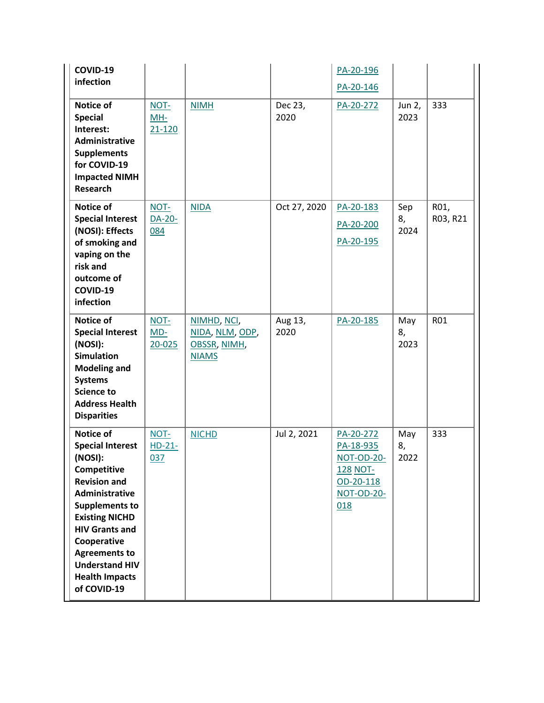| COVID-19                                                                                                                                                                                                                                                                                   |                             |                                                                |                 | PA-20-196                                                                                        |                   |                  |
|--------------------------------------------------------------------------------------------------------------------------------------------------------------------------------------------------------------------------------------------------------------------------------------------|-----------------------------|----------------------------------------------------------------|-----------------|--------------------------------------------------------------------------------------------------|-------------------|------------------|
| infection                                                                                                                                                                                                                                                                                  |                             |                                                                |                 | PA-20-146                                                                                        |                   |                  |
| Notice of<br><b>Special</b><br>Interest:<br>Administrative<br><b>Supplements</b><br>for COVID-19<br><b>Impacted NIMH</b><br><b>Research</b>                                                                                                                                                | NOT-<br>MH-<br>$21 - 120$   | <b>NIMH</b>                                                    | Dec 23,<br>2020 | PA-20-272                                                                                        | Jun 2,<br>2023    | 333              |
| Notice of<br><b>Special Interest</b><br>(NOSI): Effects<br>of smoking and<br>vaping on the<br>risk and<br>outcome of<br>COVID-19<br>infection                                                                                                                                              | NOT-<br>DA-20-<br>084       | <b>NIDA</b>                                                    | Oct 27, 2020    | PA-20-183<br>PA-20-200<br>PA-20-195                                                              | Sep<br>8,<br>2024 | R01,<br>R03, R21 |
| Notice of<br><b>Special Interest</b><br>(NOSI):<br><b>Simulation</b><br><b>Modeling and</b><br><b>Systems</b><br><b>Science to</b><br><b>Address Health</b><br><b>Disparities</b>                                                                                                          | NOT-<br>$MD-$<br>$20 - 025$ | NIMHD, NCI,<br>NIDA, NLM, ODP,<br>OBSSR, NIMH,<br><b>NIAMS</b> | Aug 13,<br>2020 | PA-20-185                                                                                        | May<br>8,<br>2023 | R01              |
| Notice of<br><b>Special Interest</b><br>(NOSI):<br>Competitive<br><b>Revision and</b><br>Administrative<br><b>Supplements to</b><br><b>Existing NICHD</b><br><b>HIV Grants and</b><br>Cooperative<br><b>Agreements to</b><br><b>Understand HIV</b><br><b>Health Impacts</b><br>of COVID-19 | NOT-<br>$HD-21-$<br>037     | <b>NICHD</b>                                                   | Jul 2, 2021     | PA-20-272<br>PA-18-935<br><b>NOT-OD-20-</b><br>128 NOT-<br>OD-20-118<br><b>NOT-OD-20-</b><br>018 | May<br>8,<br>2022 | 333              |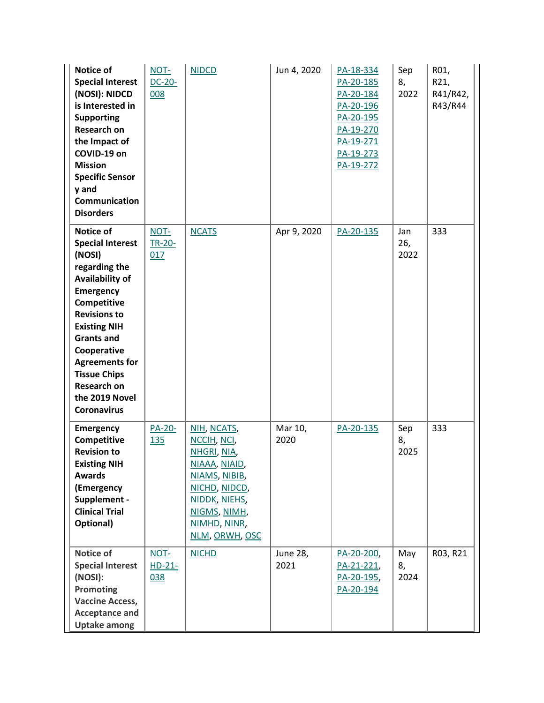| Notice of<br><b>Special Interest</b><br>(NOSI): NIDCD<br>is Interested in<br><b>Supporting</b><br><b>Research on</b><br>the Impact of<br>COVID-19 on<br><b>Mission</b><br><b>Specific Sensor</b><br>y and<br>Communication<br><b>Disorders</b>                                                                               | NOT-<br>$DC-20-$<br>008     | <b>NIDCD</b>                                                                                                                                                    | Jun 4, 2020      | PA-18-334<br>PA-20-185<br>PA-20-184<br>PA-20-196<br>PA-20-195<br>PA-19-270<br>PA-19-271<br>PA-19-273<br>PA-19-272 | Sep<br>8,<br>2022  | R01,<br>R21,<br>R41/R42,<br>R43/R44 |
|------------------------------------------------------------------------------------------------------------------------------------------------------------------------------------------------------------------------------------------------------------------------------------------------------------------------------|-----------------------------|-----------------------------------------------------------------------------------------------------------------------------------------------------------------|------------------|-------------------------------------------------------------------------------------------------------------------|--------------------|-------------------------------------|
| Notice of<br><b>Special Interest</b><br>(NOSI)<br>regarding the<br><b>Availability of</b><br><b>Emergency</b><br>Competitive<br><b>Revisions to</b><br><b>Existing NIH</b><br><b>Grants and</b><br>Cooperative<br><b>Agreements for</b><br><b>Tissue Chips</b><br><b>Research on</b><br>the 2019 Novel<br><b>Coronavirus</b> | NOT-<br>TR-20-<br>017       | <b>NCATS</b>                                                                                                                                                    | Apr 9, 2020      | PA-20-135                                                                                                         | Jan<br>26,<br>2022 | 333                                 |
| <b>Emergency</b><br>Competitive<br><b>Revision to</b><br><b>Existing NIH</b><br><b>Awards</b><br>(Emergency<br>Supplement -<br><b>Clinical Trial</b><br>Optional)                                                                                                                                                            | <b>PA-20-</b><br><b>135</b> | NIH, NCATS,<br>NCCIH, NCI,<br>NHGRI, NIA,<br>NIAAA, NIAID,<br>NIAMS, NIBIB,<br>NICHD, NIDCD,<br>NIDDK, NIEHS,<br>NIGMS, NIMH,<br>NIMHD, NINR,<br>NLM, ORWH, OSC | Mar 10,<br>2020  | PA-20-135                                                                                                         | Sep<br>8,<br>2025  | 333                                 |
| Notice of<br><b>Special Interest</b><br>(NOSI):<br><b>Promoting</b><br><b>Vaccine Access,</b><br><b>Acceptance and</b><br><b>Uptake among</b>                                                                                                                                                                                | NOT-<br>$HD-21-$<br>038     | <b>NICHD</b>                                                                                                                                                    | June 28,<br>2021 | PA-20-200,<br>PA-21-221,<br>PA-20-195,<br>PA-20-194                                                               | May<br>8,<br>2024  | R03, R21                            |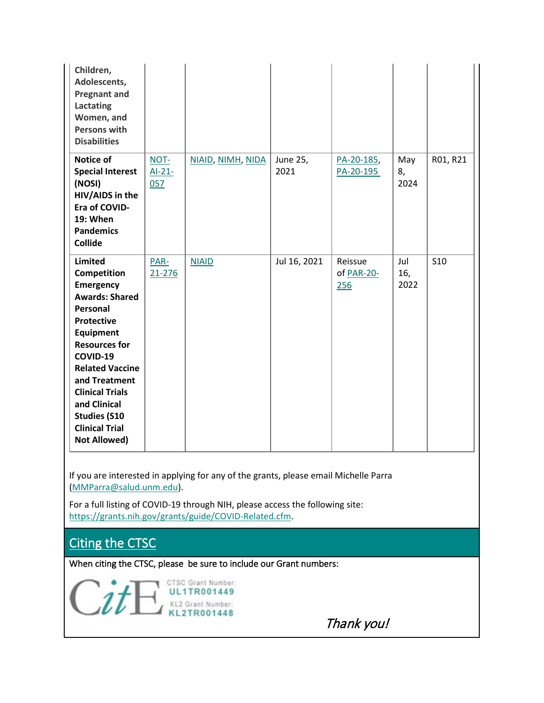| Children,<br>Adolescents,<br><b>Pregnant and</b><br><b>Lactating</b><br>Women, and<br><b>Persons with</b><br><b>Disabilities</b>                                                                                                                                                                                         |                         |                   |                  |                              |                    |            |
|--------------------------------------------------------------------------------------------------------------------------------------------------------------------------------------------------------------------------------------------------------------------------------------------------------------------------|-------------------------|-------------------|------------------|------------------------------|--------------------|------------|
| Notice of<br><b>Special Interest</b><br>(NOSI)<br>HIV/AIDS in the<br>Era of COVID-<br><b>19: When</b><br><b>Pandemics</b><br><b>Collide</b>                                                                                                                                                                              | NOT-<br>$AI-21-$<br>057 | NIAID, NIMH, NIDA | June 25,<br>2021 | PA-20-185,<br>PA-20-195      | May<br>8,<br>2024  | R01, R21   |
| Limited<br>Competition<br><b>Emergency</b><br><b>Awards: Shared</b><br>Personal<br><b>Protective</b><br><b>Equipment</b><br><b>Resources for</b><br>COVID-19<br><b>Related Vaccine</b><br>and Treatment<br><b>Clinical Trials</b><br>and Clinical<br><b>Studies (S10</b><br><b>Clinical Trial</b><br><b>Not Allowed)</b> | PAR-<br>$21 - 276$      | <b>NIAID</b>      | Jul 16, 2021     | Reissue<br>of PAR-20-<br>256 | Jul<br>16,<br>2022 | <b>S10</b> |

If you are interested in applying for any of the grants, please email Michelle Parra [\(MMParra@salud.unm.edu\)](mailto:MMParra@salud.unm.edu).

For a full listing of COVID-19 through NIH, please access the following site: [https://grants.nih.gov/grants/guide/COVID-Related.cfm.](https://grants.nih.gov/grants/guide/COVID-Related.cfm)

Citing the CTSC

When citing the CTSC, please be sure to include our Grant numbers:

CTSC Grant Number: **UL1TR001449** KL2 Grant Number:<br>KL2TR001448

Thank you!